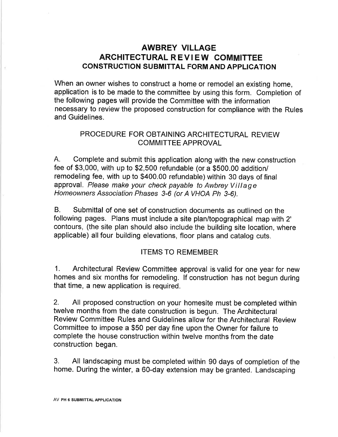# AWBREY VILLAGE ARCHITECTURAL R EVI EW COMMITTEE CONSTRUCTION SUBMITTAL FORM AND APPLICATION

When an owner wishes to construct a home or remodel an existing home, application is to be made to the committee by using this form. Completion of the following pages will provide the Connmittee with the information necessary to review the proposed construction for compliance with the Rules and Guidelines.

## PROCEDURE FOR OBTAINING ARCHITECTURAL REVIEW COMMITTEE APPROVAL

A. Complete and submit this application along with the new construction fee of \$3,000, with up to \$2,500 refundable (or a \$500.00 addition/ remodeling fee, with up to \$400.00 refundable) within 30 days of final approval. Please make your check payable to Awbrey Village Homeowners Association Phases 3-6 (or A VHOA Ph 3-6).

B. Submittal of one set of construction documents as outlined on the following pages. Plans must include a site plan/topographical map with 2' contours, (the site plan should also include the building site location, where applicable) all four building elevations, floor plans and catalog cuts.

### ITEMS TO REMEMBER

1. Architectural Review Committee approval is valid for one year for new homes and six months for remodeling. lf construction has not begun during that time, a new application is required.

2. All proposed construction on your homesite must be completed within twelve months from the date construction is begun. The Architectural Review Committee Rules and Guidelines allow for the Architectural Review Committee to impose a \$50 per day fine upon the Owner for failure to complete the house construction within twelve months from the date construction began.

3. All landscaping must be completed within g0 days of completion of the home. During the winter, a 60-day extension may be granted. Landscaping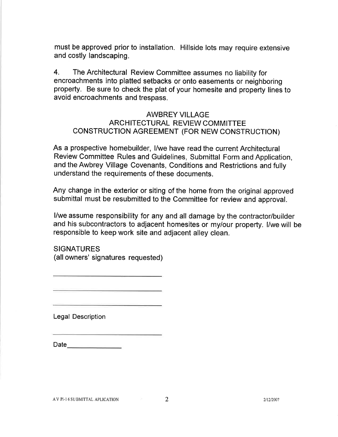must be approved prior to installation. Hillside lots may require extensive and costly landscaping.

4. The Architectural Review Committee assumes no liability for encroachments into platted setbacks or onto easements or neighboring property. Be sure to check the plat of your homesite and property lines to avoid encroachments and trespass.

## AWBREY VILLAGE ARCHITECTURAL REVIEW COMMITTEE CONSTRUCTION AGREEMENT (FOR NEW CONSTRUCTION)

As a prospective homebuilder, l/we have read the current Architectural Review Committee Rules and Guidelines, Submittal Form and Apptication, and the Awbrey Village Covenants, Conditions and Restrictions and fully understand the requirements of these documents.

Any change in the exterior or siting of the home from the original approved submittal must be resubmitted to the Committee for review and approval.

l/we assume responsibility for any and all damage by the contractor/builder and his subcontractors to adjacent homesites or my/our property. l/we will be responsible to keep work site and adjacent alley clean.

**SIGNATURES** (al! owners' signatures requested)

Legal Description

Date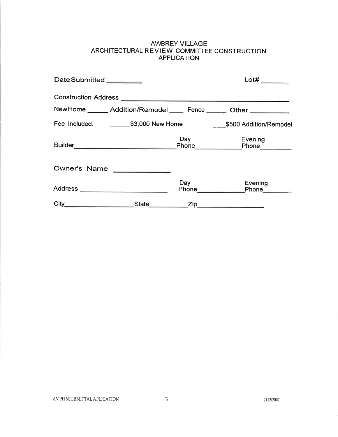#### AWBREY VILLAGE ARCHITECTURAL REVIEW COMMITTEE CONSTRUCTION APPLICATION

| DateSubmitted ________                                                                     |  |                     | Lot#                                                                      |
|--------------------------------------------------------------------------------------------|--|---------------------|---------------------------------------------------------------------------|
| Construction Address <b>Construction Address Construction Address Construction Address</b> |  |                     |                                                                           |
|                                                                                            |  |                     | New Home _______ Addition/Remodel ______ Fence _______ Other ____________ |
|                                                                                            |  |                     |                                                                           |
|                                                                                            |  | Day                 | Evening                                                                   |
| Owner's Name                                                                               |  |                     |                                                                           |
| Address __________________________                                                         |  | Day<br><b>Phone</b> | Evening<br><b>Phone</b>                                                   |
| City_<br><u> 1989 - Johann Barbara, martin a</u>                                           |  |                     |                                                                           |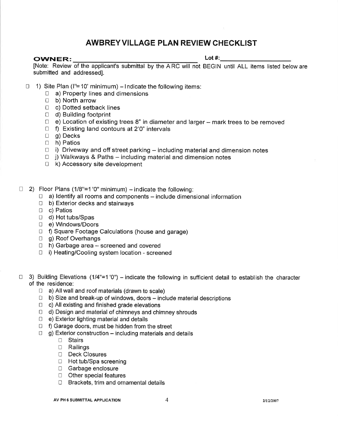# AWBREYVILLAGE PLAN REVIEW CHECKLIST

#### $\bullet$  Lot #:

[Note: Review of the applicant's submittal by the A RC will not BEGIN until ALL items listed below are submitted and addressedl.

- □ 1) Site Plan (I'= 10' minimum) Indicate the following items:<br>
□ a) Property lines and dimensions
	-
	- $\Box$  b) North arrow
	- I c) Dotted setback lines
	- $\Box$  d) Building footprint
	- $\Box$  e) Location of existing trees 8" in diameter and larger  $-$  mark trees to be removed
	- $\Box$  f) Existing land contours at 2'0" intervals
	- 1 g) Decks
	- □ h) Patios
	- $□$  i) Driveway and off street parking including material and dimension notes <br>  $□$  j) Walkways & Paths including material and dimension notes  $□$  k) Accessory site development
	-
	-
- $\Box$ 2) Floor Plans  $(1/8" = 1'0"$  minimum) – indicate the following:
	- $\Box$  a) Identify all rooms and components include dimensional information  $\Box$  b) Exterior decks and stairways
	-
	- □ c) Patios
	- d) Hot tubs/Spas
	- ! e) windows/Doors
	- $\Box$  f) Square Footage Calculations (house and garage)
	- □ g) Roof Overhangs
	- $\Box$  h) Garbage area screened and covered
	- $\Box$  i) Heating/Cooling system location screened
- $\Box$  3) Building Elevations (1/4"=1'0") indicate the following in sufficient detail to establish the character of the residence:
	- $\Box$  a) All wall and roof materials (drawn to scale)
	- $\Box$  b) Size and break-up of windows, doors include material descriptions
	- $\Box$  c) All existing and finished grade elevations
	- $□$  d) Design and material of chimneys and chimney shrouds<br>  $□$  e) Exterior lighting material and details<br>  $□$  f) Garage doors, must be hidden from the street
	-
	-
	- $\Box$  g) Exterior construction including materials and details
		- ! Stairs
		- □ Railings
		- □ Deck Closures
		- □ Hot tub/Spa screening
		- □ Garbage enclosure
		- $\Box$  Other special features
		- $\Box$  Brackets, trim and ornamental details